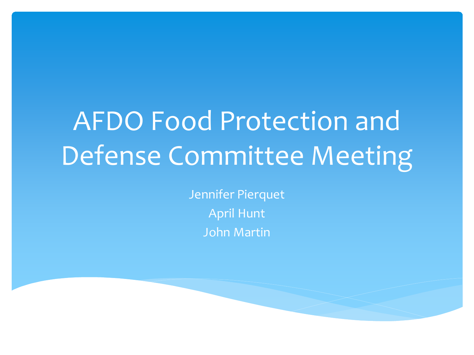# AFDO Food Protection and Defense Committee Meeting

Jennifer Pierquet April Hunt John Martin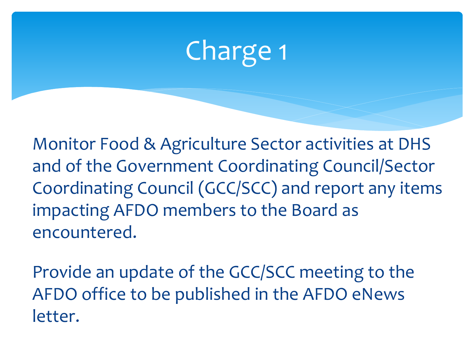# Charge 1

Monitor Food & Agriculture Sector activities at DHS and of the Government Coordinating Council/Sector Coordinating Council (GCC/SCC) and report any items impacting AFDO members to the Board as encountered.

Provide an update of the GCC/SCC meeting to the AFDO office to be published in the AFDO eNews letter.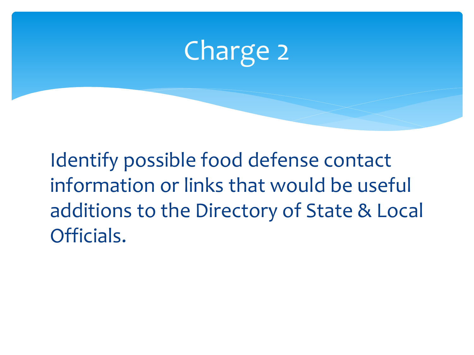

Identify possible food defense contact information or links that would be useful additions to the Directory of State & Local Officials.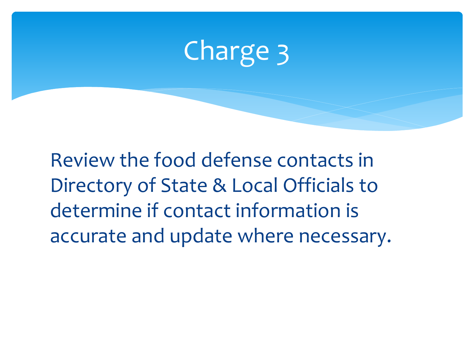## Charge 3

Review the food defense contacts in Directory of State & Local Officials to determine if contact information is accurate and update where necessary.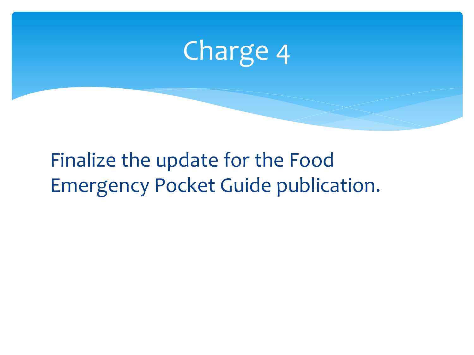

#### Finalize the update for the Food Emergency Pocket Guide publication.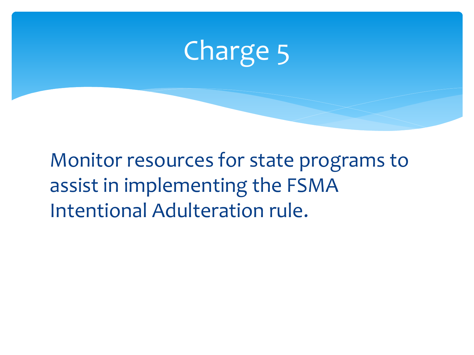

Monitor resources for state programs to assist in implementing the FSMA Intentional Adulteration rule.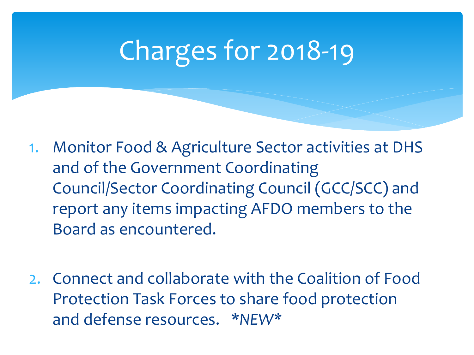## Charges for 2018-19

- 1. Monitor Food & Agriculture Sector activities at DHS and of the Government Coordinating Council/Sector Coordinating Council (GCC/SCC) and report any items impacting AFDO members to the Board as encountered.
- 2. Connect and collaborate with the Coalition of Food Protection Task Forces to share food protection and defense resources. \**NEW\**